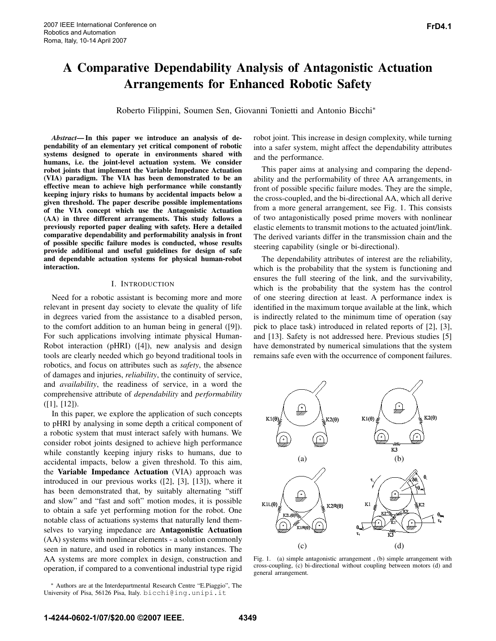# **A Comparative Dependability Analysis of Antagonistic Actuation Arrangements for Enhanced Robotic Safety**

Roberto Filippini, Soumen Sen, Giovanni Tonietti and Antonio Bicchi<sup>∗</sup>

*Abstract***— In this paper we introduce an analysis of dependability of an elementary yet critical component of robotic systems designed to operate in environments shared with humans, i.e. the joint-level actuation system. We consider robot joints that implement the Variable Impedance Actuation (VIA) paradigm. The VIA has been demonstrated to be an effective mean to achieve high performance while constantly keeping injury risks to humans by accidental impacts below a given threshold. The paper describe possible implementations of the VIA concept which use the Antagonistic Actuation (AA) in three different arrangements. This study follows a previously reported paper dealing with safety. Here a detailed comparative dependability and performability analysis in front of possible specific failure modes is conducted, whose results provide additional and useful guidelines for design of safe and dependable actuation systems for physical human-robot interaction.**

### I. INTRODUCTION

Need for a robotic assistant is becoming more and more relevant in present day society to elevate the quality of life in degrees varied from the assistance to a disabled person, to the comfort addition to an human being in general ([9]). For such applications involving intimate physical Human-Robot interaction (pHRI) ([4]), new analysis and design tools are clearly needed which go beyond traditional tools in robotics, and focus on attributes such as *safety*, the absence of damages and injuries, *reliability*, the continuity of service, and *availability*, the readiness of service, in a word the comprehensive attribute of *dependability* and *performability* ([1], [12]).

In this paper, we explore the application of such concepts to pHRI by analysing in some depth a critical component of a robotic system that must interact safely with humans. We consider robot joints designed to achieve high performance while constantly keeping injury risks to humans, due to accidental impacts, below a given threshold. To this aim, the **Variable Impedance Actuation** (VIA) approach was introduced in our previous works ([2], [3], [13]), where it has been demonstrated that, by suitably alternating "stiff and slow" and "fast and soft" motion modes, it is possible to obtain a safe yet performing motion for the robot. One notable class of actuations systems that naturally lend themselves to varying impedance are **Antagonistic Actuation** (AA) systems with nonlinear elements - a solution commonly seen in nature, and used in robotics in many instances. The AA systems are more complex in design, construction and operation, if compared to a conventional industrial type rigid robot joint. This increase in design complexity, while turning into a safer system, might affect the dependability attributes and the performance.

This paper aims at analysing and comparing the dependability and the performability of three AA arrangements, in front of possible specific failure modes. They are the simple, the cross-coupled, and the bi-directional AA, which all derive from a more general arrangement, see Fig. 1. This consists of two antagonistically posed prime movers with nonlinear elastic elements to transmit motions to the actuated joint/link. The derived variants differ in the transmission chain and the steering capability (single or bi-directional).

The dependability attributes of interest are the reliability, which is the probability that the system is functioning and ensures the full steering of the link, and the survivability, which is the probability that the system has the control of one steering direction at least. A performance index is identified in the maximum torque available at the link, which is indirectly related to the minimum time of operation (say pick to place task) introduced in related reports of [2], [3], and [13]. Safety is not addressed here. Previous studies [5] have demonstrated by numerical simulations that the system remains safe even with the occurrence of component failures.



Fig. 1. (a) simple antagonistic arrangement , (b) simple arrangement with cross-coupling, (c) bi-directional without coupling between motors (d) and general arrangement.

<sup>∗</sup> Authors are at the Interdepartmental Research Centre "E.Piaggio", The University of Pisa, 56126 Pisa, Italy. bicchi@ing.unipi.it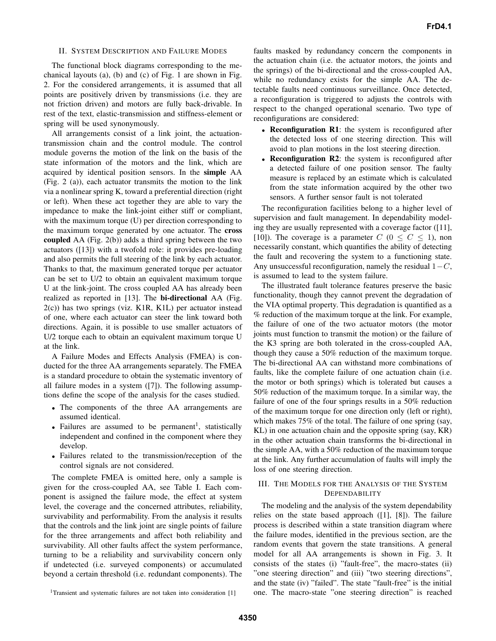#### II. SYSTEM DESCRIPTION AND FAILURE MODES

The functional block diagrams corresponding to the mechanical layouts (a), (b) and (c) of Fig. 1 are shown in Fig. 2. For the considered arrangements, it is assumed that all points are positively driven by transmissions (i.e. they are not friction driven) and motors are fully back-drivable. In rest of the text, elastic-transmission and stiffness-element or spring will be used synonymously.

All arrangements consist of a link joint, the actuationtransmission chain and the control module. The control module governs the motion of the link on the basis of the state information of the motors and the link, which are acquired by identical position sensors. In the **simple** AA (Fig. 2 (a)), each actuator transmits the motion to the link via a nonlinear spring K, toward a preferential direction (right or left). When these act together they are able to vary the impedance to make the link-joint either stiff or compliant, with the maximum torque (U) per direction corresponding to the maximum torque generated by one actuator. The **cross coupled** AA (Fig. 2(b)) adds a third spring between the two actuators ([13]) with a twofold role: it provides pre-loading and also permits the full steering of the link by each actuator. Thanks to that, the maximum generated torque per actuator can be set to U/2 to obtain an equivalent maximum torque U at the link-joint. The cross coupled AA has already been realized as reported in [13]. The **bi-directional** AA (Fig. 2(c)) has two springs (viz. K1R, K1L) per actuator instead of one, where each actuator can steer the link toward both directions. Again, it is possible to use smaller actuators of U/2 torque each to obtain an equivalent maximum torque U at the link.

A Failure Modes and Effects Analysis (FMEA) is conducted for the three AA arrangements separately. The FMEA is a standard procedure to obtain the systematic inventory of all failure modes in a system ([7]). The following assumptions define the scope of the analysis for the cases studied.

- The components of the three AA arrangements are assumed identical.
- Failures are assumed to be permanent<sup>1</sup>, statistically independent and confined in the component where they develop.
- Failures related to the transmission/reception of the control signals are not considered.

The complete FMEA is omitted here, only a sample is given for the cross-coupled AA, see Table I. Each component is assigned the failure mode, the effect at system level, the coverage and the concerned attributes, reliability, survivability and performability. From the analysis it results that the controls and the link joint are single points of failure for the three arrangements and affect both reliability and survivability. All other faults affect the system performance, turning to be a reliability and survivability concern only if undetected (i.e. surveyed components) or accumulated beyond a certain threshold (i.e. redundant components). The

faults masked by redundancy concern the components in the actuation chain (i.e. the actuator motors, the joints and the springs) of the bi-directional and the cross-coupled AA, while no redundancy exists for the simple AA. The detectable faults need continuous surveillance. Once detected, a reconfiguration is triggered to adjusts the controls with respect to the changed operational scenario. Two type of reconfigurations are considered:

- **Reconfiguration R1**: the system is reconfigured after the detected loss of one steering direction. This will avoid to plan motions in the lost steering direction.
- **Reconfiguration R2**: the system is reconfigured after a detected failure of one position sensor. The faulty measure is replaced by an estimate which is calculated from the state information acquired by the other two sensors. A further sensor fault is not tolerated

The reconfiguration facilities belong to a higher level of supervision and fault management. In dependability modeling they are usually represented with a coverage factor ([11], [10]). The coverage is a parameter  $C$  ( $0 \le C \le 1$ ), non necessarily constant, which quantifies the ability of detecting the fault and recovering the system to a functioning state. Any unsuccessful reconfiguration, namely the residual  $1-C$ , is assumed to lead to the system failure.

The illustrated fault tolerance features preserve the basic functionality, though they cannot prevent the degradation of the VIA optimal property. This degradation is quantified as a % reduction of the maximum torque at the link. For example, the failure of one of the two actuator motors (the motor joints must function to transmit the motion) or the failure of the K3 spring are both tolerated in the cross-coupled AA, though they cause a 50% reduction of the maximum torque. The bi-directional AA can withstand more combinations of faults, like the complete failure of one actuation chain (i.e. the motor or both springs) which is tolerated but causes a 50% reduction of the maximum torque. In a similar way, the failure of one of the four springs results in a 50% reduction of the maximum torque for one direction only (left or right), which makes 75% of the total. The failure of one spring (say, KL) in one actuation chain and the opposite spring (say, KR) in the other actuation chain transforms the bi-directional in the simple AA, with a 50% reduction of the maximum torque at the link. Any further accumulation of faults will imply the loss of one steering direction.

## III. THE MODELS FOR THE ANALYSIS OF THE SYSTEM DEPENDABILITY

The modeling and the analysis of the system dependability relies on the state based approach ([1], [8]). The failure process is described within a state transition diagram where the failure modes, identified in the previous section, are the random events that govern the state transitions. A general model for all AA arrangements is shown in Fig. 3. It consists of the states (i) "fault-free", the macro-states (ii) "one steering direction" and (iii) "two steering directions", and the state (iv) "failed". The state "fault-free" is the initial one. The macro-state "one steering direction" is reached

<sup>&</sup>lt;sup>1</sup>Transient and systematic failures are not taken into consideration [1]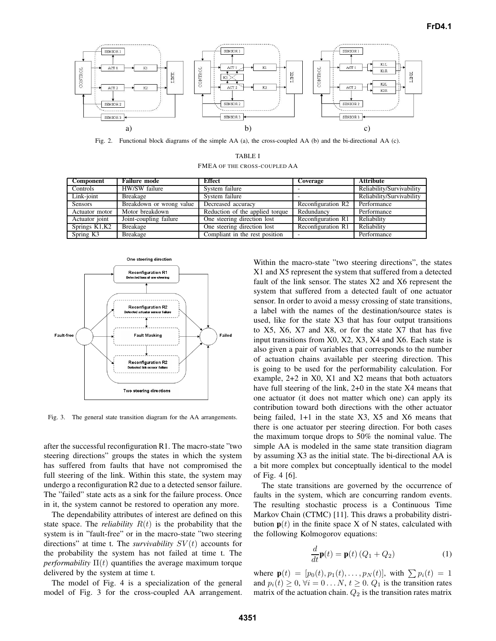

Fig. 2. Functional block diagrams of the simple AA (a), the cross-coupled AA (b) and the bi-directional AA (c).

TABLE I FMEA OF THE CROSS-COUPLED AA

| <b>Component</b> | <b>Failure mode</b>      | <b>Effect</b>                   | Coverage           | <b>Attribute</b>          |
|------------------|--------------------------|---------------------------------|--------------------|---------------------------|
| Controls         | HW/SW failure            | System failure                  |                    | Reliability/Survivability |
| Link-joint       | Breakage                 | System failure                  |                    | Reliability/Survivability |
| <b>Sensors</b>   | Breakdown or wrong value | Decreased accuracy              | Reconfiguration R2 | Performance               |
| Actuator motor   | Motor breakdown          | Reduction of the applied torque | Redundancy         | Performance               |
| Actuator joint   | Joint-coupling failure   | One steering direction lost     | Reconfiguration R1 | Reliability               |
| Springs K1,K2    | Breakage                 | One steering direction lost     | Reconfiguration R1 | Reliability               |
| Spring K3        | Breakage                 | Compliant in the rest position  |                    | Performance               |



Fig. 3. The general state transition diagram for the AA arrangements.

after the successful reconfiguration R1. The macro-state "two steering directions" groups the states in which the system has suffered from faults that have not compromised the full steering of the link. Within this state, the system may undergo a reconfiguration R2 due to a detected sensor failure. The "failed" state acts as a sink for the failure process. Once in it, the system cannot be restored to operation any more.

The dependability attributes of interest are defined on this state space. The *reliability*  $R(t)$  is the probability that the system is in "fault-free" or in the macro-state "two steering directions" at time t. The *survivability*  $SV(t)$  accounts for the probability the system has not failed at time t. The *performability*  $\Pi(t)$  quantifies the average maximum torque delivered by the system at time t.

The model of Fig. 4 is a specialization of the general model of Fig. 3 for the cross-coupled AA arrangement.

Within the macro-state "two steering directions", the states X1 and X5 represent the system that suffered from a detected fault of the link sensor. The states X2 and X6 represent the system that suffered from a detected fault of one actuator sensor. In order to avoid a messy crossing of state transitions, a label with the names of the destination/source states is used, like for the state X3 that has four output transitions to X5, X6, X7 and X8, or for the state X7 that has five input transitions from X0, X2, X3, X4 and X6. Each state is also given a pair of variables that corresponds to the number of actuation chains available per steering direction. This is going to be used for the performability calculation. For example, 2+2 in X0, X1 and X2 means that both actuators have full steering of the link, 2+0 in the state X4 means that one actuator (it does not matter which one) can apply its contribution toward both directions with the other actuator being failed, 1+1 in the state X3, X5 and X6 means that there is one actuator per steering direction. For both cases the maximum torque drops to 50% the nominal value. The simple AA is modeled in the same state transition diagram by assuming X3 as the initial state. The bi-directional AA is a bit more complex but conceptually identical to the model of Fig. 4 [6].

The state transitions are governed by the occurrence of faults in the system, which are concurring random events. The resulting stochastic process is a Continuous Time Markov Chain (CTMC) [11]. This draws a probability distribution  $p(t)$  in the finite space X of N states, calculated with the following Kolmogorov equations:

$$
\frac{d}{dt}\mathbf{p}(t) = \mathbf{p}(t) (Q_1 + Q_2)
$$
\n(1)

where  $\mathbf{p}(t) = [p_0(t), p_1(t), \dots, p_N(t)],$  with  $\sum p_i(t) = 1$ and  $p_i(t) \geq 0$ ,  $\forall i = 0 \dots N$ ,  $t \geq 0$ .  $Q_1$  is the transition rates matrix of the actuation chain.  $Q_2$  is the transition rates matrix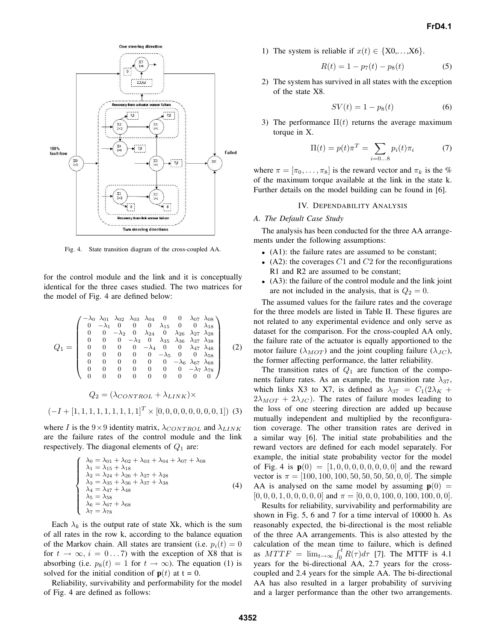

Fig. 4. State transition diagram of the cross-coupled AA.

for the control module and the link and it is conceptually identical for the three cases studied. The two matrices for the model of Fig. 4 are defined below:

$$
Q_{1} = \begin{pmatrix} -\lambda_{0} & \lambda_{01} & \lambda_{02} & \lambda_{03} & \lambda_{04} & 0 & 0 & \lambda_{07} & \lambda_{08} \\ 0 & -\lambda_{1} & 0 & 0 & 0 & \lambda_{15} & 0 & 0 & \lambda_{18} \\ 0 & 0 & -\lambda_{2} & 0 & \lambda_{24} & 0 & \lambda_{26} & \lambda_{27} & \lambda_{28} \\ 0 & 0 & 0 & -\lambda_{3} & 0 & \lambda_{35} & \lambda_{36} & \lambda_{37} & \lambda_{38} \\ 0 & 0 & 0 & 0 & -\lambda_{4} & 0 & 0 & \lambda_{47} & \lambda_{48} \\ 0 & 0 & 0 & 0 & 0 & -\lambda_{5} & 0 & 0 & \lambda_{58} \\ 0 & 0 & 0 & 0 & 0 & 0 & -\lambda_{6} & \lambda_{67} & \lambda_{68} \\ 0 & 0 & 0 & 0 & 0 & 0 & 0 & -\lambda_{7} & \lambda_{78} \\ 0 & 0 & 0 & 0 & 0 & 0 & 0 & 0 & 0 \end{pmatrix}
$$
 (2)  

$$
Q_{2} = (\lambda_{CONTROL} + \lambda_{LINK}) \times
$$

$$
(-I + [1, 1, 1, 1, 1, 1, 1, 1, 1]^T \times [0, 0, 0, 0, 0, 0, 0, 0, 1]) (3)
$$

where I is the  $9 \times 9$  identity matrix,  $\lambda_{CONTROL}$  and  $\lambda_{LINK}$ are the failure rates of the control module and the link respectively. The diagonal elements of  $Q_1$  are:

$$
\begin{cases}\n\lambda_0 = \lambda_{01} + \lambda_{02} + \lambda_{03} + \lambda_{04} + \lambda_{07} + \lambda_{08} \\
\lambda_1 = \lambda_{15} + \lambda_{18} \\
\lambda_2 = \lambda_{24} + \lambda_{26} + \lambda_{27} + \lambda_{28} \\
\lambda_3 = \lambda_{35} + \lambda_{36} + \lambda_{37} + \lambda_{38} \\
\lambda_4 = \lambda_{47} + \lambda_{48} \\
\lambda_5 = \lambda_{58} \\
\lambda_6 = \lambda_{67} + \lambda_{68} \\
\lambda_7 = \lambda_{78}\n\end{cases}
$$
\n(4)

Each  $\lambda_k$  is the output rate of state Xk, which is the sum of all rates in the row k, according to the balance equation of the Markov chain. All states are transient (i.e.  $p_i(t) = 0$ for  $t \to \infty$ ,  $i = 0...7$  with the exception of X8 that is absorbing (i.e.  $p_8(t) = 1$  for  $t \to \infty$ ). The equation (1) is solved for the initial condition of  $p(t)$  at  $t = 0$ .

Reliability, survivability and performability for the model of Fig. 4 are defined as follows:

1) The system is reliable if  $x(t) \in \{X0, \ldots, X6\}$ .

$$
R(t) = 1 - p_7(t) - p_8(t)
$$
 (5)

2) The system has survived in all states with the exception of the state X8.

$$
SV(t) = 1 - p_8(t) \tag{6}
$$

3) The performance  $\Pi(t)$  returns the average maximum torque in X.

$$
\Pi(t) = p(t)\pi^T = \sum_{i=0...8} p_i(t)\pi_i
$$
 (7)

where  $\pi = [\pi_0, \ldots, \pi_8]$  is the reward vector and  $\pi_k$  is the % of the maximum torque available at the link in the state k. Further details on the model building can be found in [6].

## IV. DEPENDABILITY ANALYSIS

## *A. The Default Case Study*

The analysis has been conducted for the three AA arrangements under the following assumptions:

- (A1): the failure rates are assumed to be constant;
- (A2): the coverages  $C1$  and  $C2$  for the reconfigurations R1 and R2 are assumed to be constant;
- (A3): the failure of the control module and the link joint are not included in the analysis, that is  $Q_2 = 0$ .

The assumed values for the failure rates and the coverage for the three models are listed in Table II. These figures are not related to any experimental evidence and only serve as dataset for the comparison. For the cross-coupled AA only, the failure rate of the actuator is equally apportioned to the motor failure ( $\lambda_{MOT}$ ) and the joint coupling failure ( $\lambda_{JC}$ ), the former affecting performance, the latter reliability.

The transition rates of  $Q_1$  are function of the components failure rates. As an example, the transition rate  $\lambda_{37}$ , which links X3 to X7, is defined as  $\lambda_{37} = C_1(2\lambda_K +$  $2\lambda_{MOT} + 2\lambda_{JC}$ ). The rates of failure modes leading to the loss of one steering direction are added up because mutually independent and multiplied by the reconfiguration coverage. The other transition rates are derived in a similar way [6]. The initial state probabilities and the reward vectors are defined for each model separately. For example, the initial state probability vector for the model of Fig. 4 is  $p(0) = [1, 0, 0, 0, 0, 0, 0, 0, 0]$  and the reward vector is  $\pi = [100, 100, 100, 50, 50, 50, 50, 0, 0]$ . The simple AA is analysed on the same model by assuming  $p(0)$  =  $[0, 0, 0, 1, 0, 0, 0, 0, 0]$  and  $\pi = [0, 0, 0, 100, 0, 100, 100, 0, 0]$ .

Results for reliability, survivability and performability are shown in Fig. 5, 6 and 7 for a time interval of 10000 h. As reasonably expected, the bi-directional is the most reliable of the three AA arrangements. This is also attested by the calculation of the mean time to failure, which is defined as  $MTTF = \lim_{t\to\infty} \int_0^t R(\tau) d\tau$  [7]. The MTTF is 4.1 years for the bi-directional AA, 2.7 years for the crosscoupled and 2.4 years for the simple AA. The bi-directional AA has also resulted in a larger probability of surviving and a larger performance than the other two arrangements.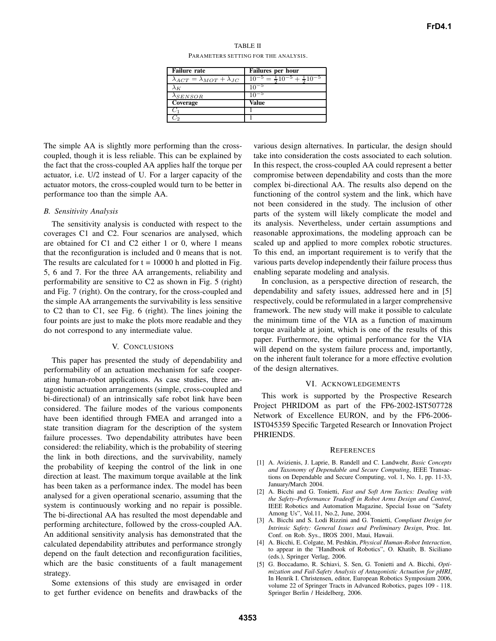| <b>TABLE II</b>                      |
|--------------------------------------|
| PARAMETERS SETTING FOR THE ANALYSIS. |

| <b>Failure</b> rate                            | Failures per hour                                   |
|------------------------------------------------|-----------------------------------------------------|
| $\lambda_{ACT} = \lambda_{MOT} + \lambda_{JC}$ | $10^{-5} = \frac{1}{2}10^{-5} + \frac{1}{2}10^{-5}$ |
| $\lambda_K$                                    |                                                     |
| $\lambda_{SENSOR}$                             |                                                     |
| Coverage                                       | Value                                               |
|                                                |                                                     |
|                                                |                                                     |

The simple AA is slightly more performing than the crosscoupled, though it is less reliable. This can be explained by the fact that the cross-coupled AA applies half the torque per actuator, i.e. U/2 instead of U. For a larger capacity of the actuator motors, the cross-coupled would turn to be better in performance too than the simple AA.

#### *B. Sensitivity Analysis*

The sensitivity analysis is conducted with respect to the coverages C1 and C2. Four scenarios are analysed, which are obtained for C1 and C2 either 1 or 0, where 1 means that the reconfiguration is included and 0 means that is not. The results are calculated for  $t = 10000$  h and plotted in Fig. 5, 6 and 7. For the three AA arrangements, reliability and performability are sensitive to C2 as shown in Fig. 5 (right) and Fig. 7 (right). On the contrary, for the cross-coupled and the simple AA arrangements the survivability is less sensitive to C2 than to C1, see Fig. 6 (right). The lines joining the four points are just to make the plots more readable and they do not correspond to any intermediate value.

## V. CONCLUSIONS

This paper has presented the study of dependability and performability of an actuation mechanism for safe cooperating human-robot applications. As case studies, three antagonistic actuation arrangements (simple, cross-coupled and bi-directional) of an intrinsically safe robot link have been considered. The failure modes of the various components have been identified through FMEA and arranged into a state transition diagram for the description of the system failure processes. Two dependability attributes have been considered: the reliability, which is the probability of steering the link in both directions, and the survivability, namely the probability of keeping the control of the link in one direction at least. The maximum torque available at the link has been taken as a performance index. The model has been analysed for a given operational scenario, assuming that the system is continuously working and no repair is possible. The bi-directional AA has resulted the most dependable and performing architecture, followed by the cross-coupled AA. An additional sensitivity analysis has demonstrated that the calculated dependability attributes and performance strongly depend on the fault detection and reconfiguration facilities, which are the basic constituents of a fault management strategy.

Some extensions of this study are envisaged in order to get further evidence on benefits and drawbacks of the

various design alternatives. In particular, the design should take into consideration the costs associated to each solution. In this respect, the cross-coupled AA could represent a better compromise between dependability and costs than the more complex bi-directional AA. The results also depend on the functioning of the control system and the link, which have not been considered in the study. The inclusion of other parts of the system will likely complicate the model and its analysis. Nevertheless, under certain assumptions and reasonable approximations, the modeling approach can be scaled up and applied to more complex robotic structures. To this end, an important requirement is to verify that the various parts develop independently their failure process thus enabling separate modeling and analysis.

In conclusion, as a perspective direction of research, the dependability and safety issues, addressed here and in [5] respectively, could be reformulated in a larger comprehensive framework. The new study will make it possible to calculate the minimum time of the VIA as a function of maximum torque available at joint, which is one of the results of this paper. Furthermore, the optimal performance for the VIA will depend on the system failure process and, importantly, on the inherent fault tolerance for a more effective evolution of the design alternatives.

## VI. ACKNOWLEDGEMENTS

This work is supported by the Prospective Research Project PHRIDOM as part of the FP6-2002-IST507728 Network of Excellence EURON, and by the FP6-2006- IST045359 Specific Targeted Research or Innovation Project PHRIENDS.

#### **REFERENCES**

- [1] A. Avizienis, J. Laprie, B. Randell and C. Landwehr, *Basic Concepts and Taxonomy of Dependable and Secure Computing*, IEEE Transactions on Dependable and Secure Computing, vol. 1, No. 1, pp. 11-33, January/March 2004.
- [2] A. Bicchi and G. Tonietti, *Fast and Soft Arm Tactics: Dealing with the Safety–Performance Tradeoff in Robot Arms Design and Control*, IEEE Robotics and Automation Magazine, Special Issue on "Safety Among Us", Vol.11, No.2, June, 2004.
- [3] A. Bicchi and S. Lodi Rizzini and G. Tonietti, *Compliant Design for Intrinsic Safety: General Issues and Preliminary Design*, Proc. Int. Conf. on Rob. Sys., IROS 2001, Maui, Hawaii.
- [4] A. Bicchi, E. Colgate, M. Peshkin, *Physical Human-Robot Interaction*, to appear in the "Handbook of Robotics", O. Khatib, B. Siciliano (eds.), Springer Verlag, 2006.
- [5] G. Boccadamo, R. Schiavi, S. Sen, G. Tonietti and A. Bicchi, *Optimization and Fail-Safety Analysis of Antagonistic Actuation for pHRI*, In Henrik I. Christensen, editor, European Robotics Symposium 2006, volume 22 of Springer Tracts in Advanced Robotics, pages 109 - 118. Springer Berlin / Heidelberg, 2006.